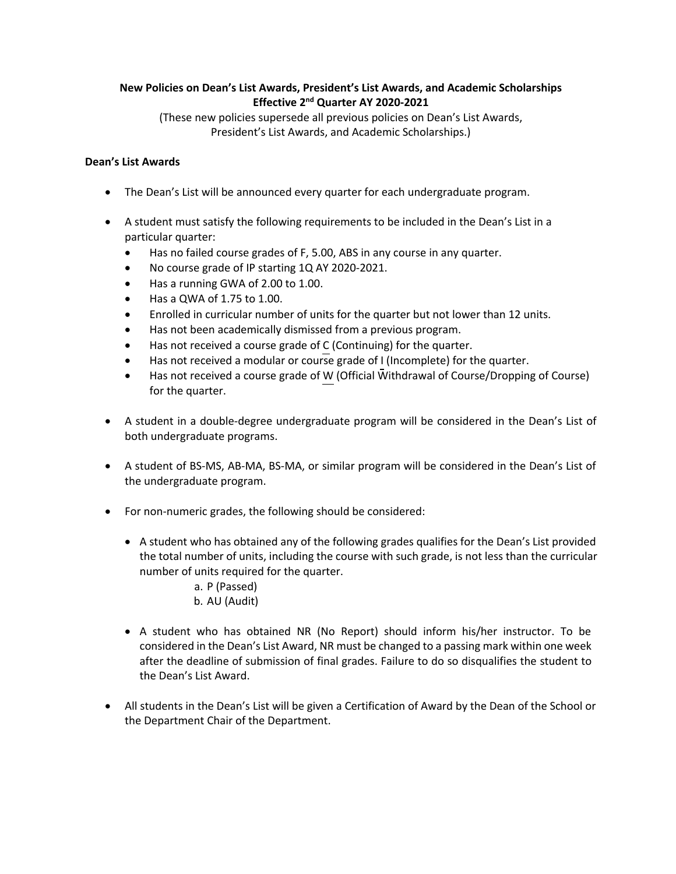## **New Policies on Dean's List Awards, President's List Awards, and Academic Scholarships Effective 2nd Quarter AY 2020-2021**

(These new policies supersede all previous policies on Dean's List Awards, President's List Awards, and Academic Scholarships.)

## **Dean's List Awards**

- The Dean's List will be announced every quarter for each undergraduate program.
- A student must satisfy the following requirements to be included in the Dean's List in a particular quarter:
	- Has no failed course grades of F, 5.00, ABS in any course in any quarter.
	- No course grade of IP starting 1Q AY 2020-2021.
	- Has a running GWA of 2.00 to 1.00.
	- Has a QWA of 1.75 to 1.00.
	- Enrolled in curricular number of units for the quarter but not lower than 12 units.
	- Has not been academically dismissed from a previous program.
	- Has not received a course grade of C (Continuing) for the quarter.
	- Has not received a modular or course grade of I (Incomplete) for the quarter.
	- Has not received a course grade of W (Official Withdrawal of Course/Dropping of Course) for the quarter.
- A student in a double-degree undergraduate program will be considered in the Dean's List of both undergraduate programs.
- A student of BS-MS, AB-MA, BS-MA, or similar program will be considered in the Dean's List of the undergraduate program.
- For non-numeric grades, the following should be considered:
	- A student who has obtained any of the following grades qualifies for the Dean's List provided the total number of units, including the course with such grade, is not less than the curricular number of units required for the quarter.
		- a. P (Passed)
		- b. AU (Audit)
	- A student who has obtained NR (No Report) should inform his/her instructor. To be considered in the Dean's List Award, NR must be changed to a passing mark within one week after the deadline of submission of final grades. Failure to do so disqualifies the student to the Dean's List Award.
- All students in the Dean's List will be given a Certification of Award by the Dean of the School or the Department Chair of the Department.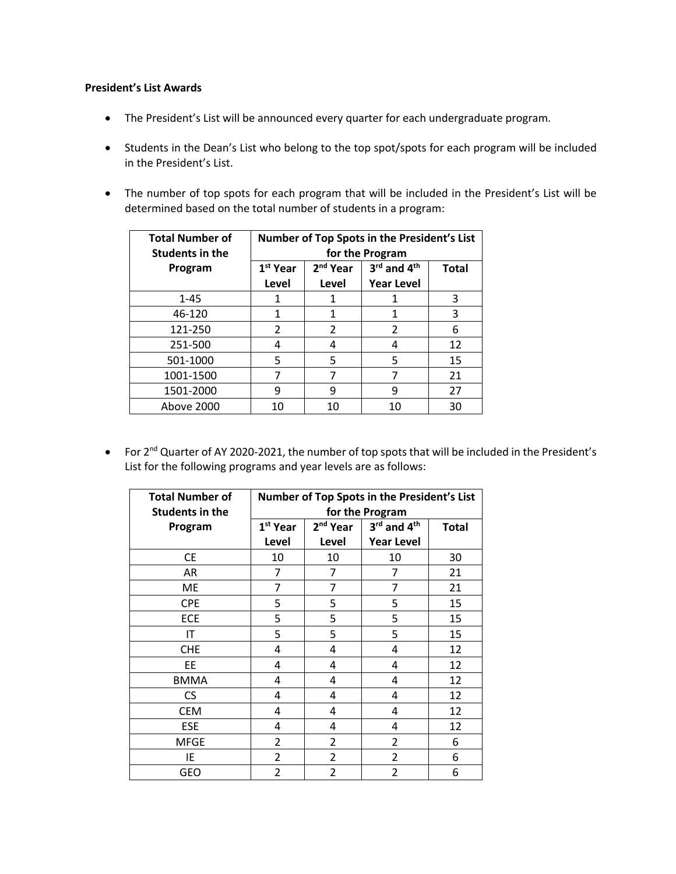## **President's List Awards**

- The President's List will be announced every quarter for each undergraduate program.
- Students in the Dean's List who belong to the top spot/spots for each program will be included in the President's List.
- The number of top spots for each program that will be included in the President's List will be determined based on the total number of students in a program:

| <b>Total Number of</b><br><b>Students in the</b> | Number of Top Spots in the President's List<br>for the Program |                               |                                                          |              |
|--------------------------------------------------|----------------------------------------------------------------|-------------------------------|----------------------------------------------------------|--------------|
| Program                                          | 1 <sup>st</sup> Year<br>Level                                  | 2 <sup>nd</sup> Year<br>Level | $3^{\text{rd}}$ and $4^{\text{th}}$<br><b>Year Level</b> | <b>Total</b> |
| $1 - 45$                                         |                                                                |                               |                                                          | 3            |
| 46-120                                           | 1                                                              |                               | 1                                                        | 3            |
| 121-250                                          | $\mathcal{P}$                                                  | $\mathcal{P}$                 | 2                                                        | 6            |
| 251-500                                          | 4                                                              |                               | 4                                                        | 12           |
| 501-1000                                         | 5                                                              | 5                             | 5                                                        | 15           |
| 1001-1500                                        |                                                                |                               |                                                          | 21           |
| 1501-2000                                        | 9                                                              | 9                             | 9                                                        | 27           |
| Above 2000                                       | 10                                                             | 10                            | 10                                                       | 30           |

• For 2nd Quarter of AY 2020-2021, the number of top spots that will be included in the President's List for the following programs and year levels are as follows:

| <b>Total Number of</b> | Number of Top Spots in the President's List |                      |                   |              |  |
|------------------------|---------------------------------------------|----------------------|-------------------|--------------|--|
| <b>Students in the</b> | for the Program                             |                      |                   |              |  |
| Program                | 1 <sup>st</sup> Year                        | 2 <sup>nd</sup> Year | 3rd and 4th       | <b>Total</b> |  |
|                        | Level                                       | Level                | <b>Year Level</b> |              |  |
| <b>CE</b>              | 10                                          | 10                   | 10                | 30           |  |
| AR                     | 7                                           | 7                    | 7                 | 21           |  |
| ME                     | 7                                           | $\overline{7}$       | 7                 | 21           |  |
| <b>CPE</b>             | 5                                           | 5                    | 5                 | 15           |  |
| ECE                    | 5                                           | 5                    | 5                 | 15           |  |
| IT                     | 5                                           | 5                    | 5                 | 15           |  |
| <b>CHE</b>             | 4                                           | 4                    | 4                 | 12           |  |
| EE                     | 4                                           | 4                    | 4                 | 12           |  |
| <b>BMMA</b>            | 4                                           | 4                    | 4                 | 12           |  |
| <b>CS</b>              | 4                                           | 4                    | 4                 | 12           |  |
| <b>CEM</b>             | 4                                           | 4                    | 4                 | 12           |  |
| <b>ESE</b>             | 4                                           | 4                    | 4                 | 12           |  |
| <b>MFGE</b>            | $\overline{2}$                              | $\overline{2}$       | 2                 | 6            |  |
| ΙE                     | $\overline{2}$                              | $\overline{2}$       | 2                 | 6            |  |
| <b>GEO</b>             | $\overline{2}$                              | 2                    | $\overline{2}$    | 6            |  |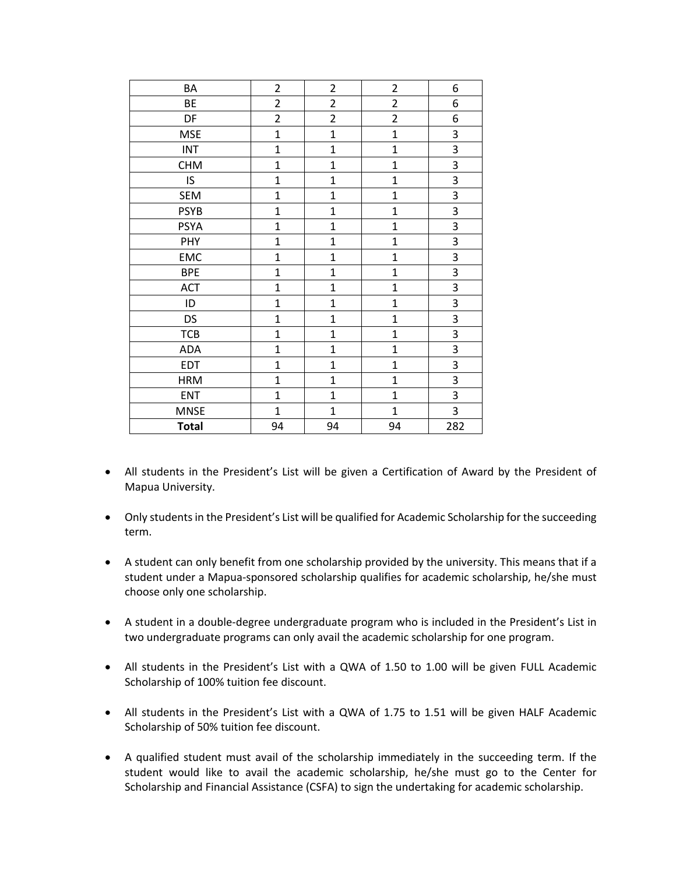| BA           | $\overline{2}$ | $\overline{2}$ | $\overline{2}$          | 6                       |
|--------------|----------------|----------------|-------------------------|-------------------------|
| BE           | $\overline{c}$ | $\overline{2}$ | $\overline{\mathbf{c}}$ | 6                       |
| DF           | $\overline{c}$ | $\overline{2}$ | $\overline{2}$          | 6                       |
| <b>MSE</b>   | $\overline{1}$ | $\mathbf{1}$   | $\mathbf{1}$            | 3                       |
| <b>INT</b>   | $\mathbf{1}$   | $\overline{1}$ | $\mathbf 1$             | 3                       |
| <b>CHM</b>   | $\overline{1}$ | $\overline{1}$ | $\mathbf{1}$            | $\overline{3}$          |
| IS           | $\mathbf 1$    | $\mathbf 1$    | $\mathbf{1}$            | 3                       |
| <b>SEM</b>   | $\overline{1}$ | $\mathbf{1}$   | $\mathbf{1}$            | 3                       |
| <b>PSYB</b>  | $\mathbf{1}$   | $\mathbf{1}$   | $\mathbf{1}$            | 3                       |
| <b>PSYA</b>  | $\overline{1}$ | $\overline{1}$ | $\mathbf{1}$            | 3                       |
| PHY          | $\mathbf{1}$   | $\overline{1}$ | $\mathbf{1}$            | $\overline{3}$          |
| EMC          | $\mathbf{1}$   | $\mathbf{1}$   | $\mathbf 1$             | 3                       |
| <b>BPE</b>   | $\mathbf{1}$   | $\mathbf{1}$   | $\mathbf 1$             | 3                       |
| <b>ACT</b>   | $\mathbf{1}$   | $\mathbf{1}$   | $\mathbf{1}$            | 3                       |
| ID           | $\overline{1}$ | $\mathbf{1}$   | $\mathbf{1}$            | $\overline{3}$          |
| DS           | $\overline{1}$ | $\overline{1}$ | $\mathbf{1}$            | 3                       |
| <b>TCB</b>   | $\mathbf{1}$   | $\mathbf{1}$   | $\mathbf 1$             | 3                       |
| <b>ADA</b>   | $\mathbf{1}$   | $\overline{1}$ | $\mathbf 1$             | 3                       |
| <b>EDT</b>   | $\overline{1}$ | $\mathbf{1}$   | $\mathbf{1}$            | $\overline{\mathbf{3}}$ |
| <b>HRM</b>   | $\overline{1}$ | $\mathbf{1}$   | $\overline{1}$          | 3                       |
| <b>ENT</b>   | $\overline{1}$ | $\overline{1}$ | $\mathbf{1}$            | 3                       |
| <b>MNSE</b>  | $\mathbf{1}$   | $\mathbf{1}$   | $\mathbf{1}$            | 3                       |
| <b>Total</b> | 94             | 94             | 94                      | 282                     |

- All students in the President's List will be given a Certification of Award by the President of Mapua University.
- Only students in the President's List will be qualified for Academic Scholarship for the succeeding term.
- A student can only benefit from one scholarship provided by the university. This means that if a student under a Mapua-sponsored scholarship qualifies for academic scholarship, he/she must choose only one scholarship.
- A student in a double-degree undergraduate program who is included in the President's List in two undergraduate programs can only avail the academic scholarship for one program.
- All students in the President's List with a QWA of 1.50 to 1.00 will be given FULL Academic Scholarship of 100% tuition fee discount.
- All students in the President's List with a QWA of 1.75 to 1.51 will be given HALF Academic Scholarship of 50% tuition fee discount.
- A qualified student must avail of the scholarship immediately in the succeeding term. If the student would like to avail the academic scholarship, he/she must go to the Center for Scholarship and Financial Assistance (CSFA) to sign the undertaking for academic scholarship.